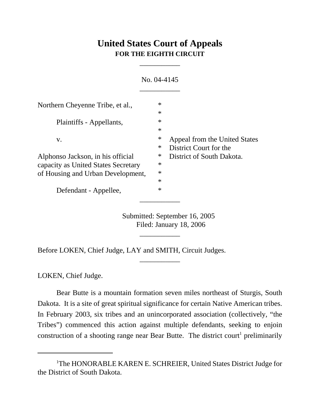## **United States Court of Appeals FOR THE EIGHTH CIRCUIT**

\_\_\_\_\_\_\_\_\_\_\_

|                                                                          | No. 04-4145                                                       |
|--------------------------------------------------------------------------|-------------------------------------------------------------------|
| Northern Cheyenne Tribe, et al.,                                         | $\ast$<br>$\ast$                                                  |
| Plaintiffs - Appellants,                                                 | $\ast$<br>$\ast$                                                  |
| V.                                                                       | ∗<br>Appeal from the United States<br>District Court for the<br>∗ |
| Alphonso Jackson, in his official<br>capacity as United States Secretary | ∗<br>District of South Dakota.<br>$\ast$<br>$\ast$                |
| of Housing and Urban Development,<br>Defendant - Appellee,               | $\ast$<br>$\ast$                                                  |
|                                                                          |                                                                   |

Submitted: September 16, 2005 Filed: January 18, 2006

\_\_\_\_\_\_\_\_\_\_\_

\_\_\_\_\_\_\_\_\_\_\_

Before LOKEN, Chief Judge, LAY and SMITH, Circuit Judges.

LOKEN, Chief Judge.

Bear Butte is a mountain formation seven miles northeast of Sturgis, South Dakota. It is a site of great spiritual significance for certain Native American tribes. In February 2003, six tribes and an unincorporated association (collectively, "the Tribes") commenced this action against multiple defendants, seeking to enjoin construction of a shooting range near Bear Butte. The district court<sup>1</sup> preliminarily

<sup>&</sup>lt;sup>1</sup>The HONORABLE KAREN E. SCHREIER, United States District Judge for the District of South Dakota.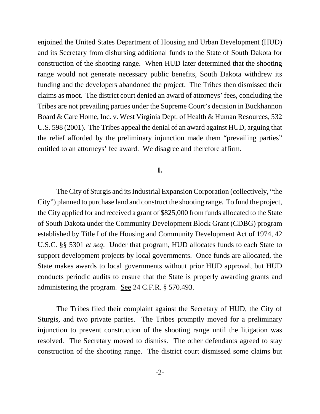enjoined the United States Department of Housing and Urban Development (HUD) and its Secretary from disbursing additional funds to the State of South Dakota for construction of the shooting range. When HUD later determined that the shooting range would not generate necessary public benefits, South Dakota withdrew its funding and the developers abandoned the project. The Tribes then dismissed their claims as moot. The district court denied an award of attorneys' fees, concluding the Tribes are not prevailing parties under the Supreme Court's decision in Buckhannon Board & Care Home, Inc. v. West Virginia Dept. of Health & Human Resources, 532 U.S. 598 (2001). The Tribes appeal the denial of an award against HUD, arguing that the relief afforded by the preliminary injunction made them "prevailing parties" entitled to an attorneys' fee award. We disagree and therefore affirm.

## **I.**

The City of Sturgis and its Industrial Expansion Corporation (collectively, "the City") planned to purchase land and construct the shooting range. To fund the project, the City applied for and received a grant of \$825,000 from funds allocated to the State of South Dakota under the Community Development Block Grant (CDBG) program established by Title I of the Housing and Community Development Act of 1974, 42 U.S.C. §§ 5301 *et seq*. Under that program, HUD allocates funds to each State to support development projects by local governments. Once funds are allocated, the State makes awards to local governments without prior HUD approval, but HUD conducts periodic audits to ensure that the State is properly awarding grants and administering the program. See 24 C.F.R. § 570.493.

The Tribes filed their complaint against the Secretary of HUD, the City of Sturgis, and two private parties. The Tribes promptly moved for a preliminary injunction to prevent construction of the shooting range until the litigation was resolved. The Secretary moved to dismiss. The other defendants agreed to stay construction of the shooting range. The district court dismissed some claims but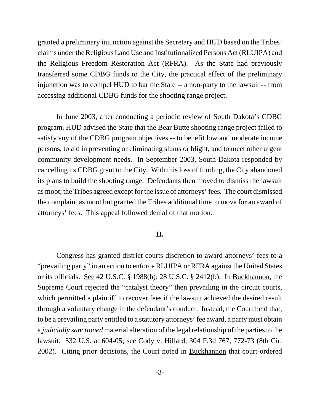granted a preliminary injunction against the Secretary and HUD based on the Tribes' claims under the Religious Land Use and Institutionalized Persons Act (RLUIPA) and the Religious Freedom Restoration Act (RFRA). As the State had previously transferred some CDBG funds to the City, the practical effect of the preliminary injunction was to compel HUD to bar the State -- a non-party to the lawsuit -- from accessing additional CDBG funds for the shooting range project.

In June 2003, after conducting a periodic review of South Dakota's CDBG program, HUD advised the State that the Bear Butte shooting range project failed to satisfy any of the CDBG program objectives -- to benefit low and moderate income persons, to aid in preventing or eliminating slums or blight, and to meet other urgent community development needs. In September 2003, South Dakota responded by cancelling its CDBG grant to the City. With this loss of funding, the City abandoned its plans to build the shooting range. Defendants then moved to dismiss the lawsuit as moot; the Tribes agreed except for the issue of attorneys' fees. The court dismissed the complaint as moot but granted the Tribes additional time to move for an award of attorneys' fees. This appeal followed denial of that motion.

## **II.**

Congress has granted district courts discretion to award attorneys' fees to a "prevailing party" in an action to enforce RLUIPA or RFRA against the United States or its officials. See 42 U.S.C. § 1988(b); 28 U.S.C. § 2412(b). In Buckhannon, the Supreme Court rejected the "catalyst theory" then prevailing in the circuit courts, which permitted a plaintiff to recover fees if the lawsuit achieved the desired result through a voluntary change in the defendant's conduct. Instead, the Court held that, to be a prevailing party entitled to a statutory attorneys' fee award, a party must obtain a *judicially sanctioned* material alteration of the legal relationship of the parties to the lawsuit. 532 U.S. at 604-05; see Cody v. Hillard, 304 F.3d 767, 772-73 (8th Cir. 2002). Citing prior decisions, the Court noted in Buckhannon that court-ordered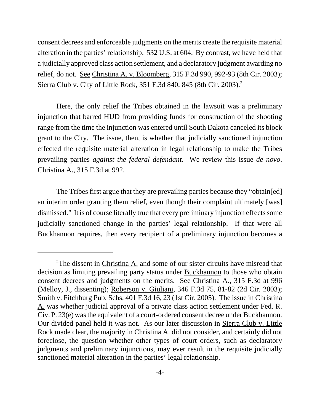consent decrees and enforceable judgments on the merits create the requisite material alteration in the parties' relationship. 532 U.S. at 604. By contrast, we have held that a judicially approved class action settlement, and a declaratory judgment awarding no relief, do not. See Christina A. v. Bloomberg, 315 F.3d 990, 992-93 (8th Cir. 2003); Sierra Club v. City of Little Rock, 351 F.3d 840, 845 (8th Cir. 2003).2

Here, the only relief the Tribes obtained in the lawsuit was a preliminary injunction that barred HUD from providing funds for construction of the shooting range from the time the injunction was entered until South Dakota canceled its block grant to the City. The issue, then, is whether that judicially sanctioned injunction effected the requisite material alteration in legal relationship to make the Tribes prevailing parties *against the federal defendant*. We review this issue *de novo*. Christina A., 315 F.3d at 992.

The Tribes first argue that they are prevailing parties because they "obtain[ed] an interim order granting them relief, even though their complaint ultimately [was] dismissed." It is of course literally true that every preliminary injunction effects some judicially sanctioned change in the parties' legal relationship. If that were all Buckhannon requires, then every recipient of a preliminary injunction becomes a

<sup>&</sup>lt;sup>2</sup>The dissent in Christina A. and some of our sister circuits have misread that decision as limiting prevailing party status under Buckhannon to those who obtain consent decrees and judgments on the merits. See Christina A., 315 F.3d at 996 (Melloy, J., dissenting); Roberson v. Giuliani, 346 F.3d 75, 81-82 (2d Cir. 2003); Smith v. Fitchburg Pub. Schs, 401 F.3d 16, 23 (1st Cir. 2005). The issue in Christina A. was whether judicial approval of a private class action settlement under Fed. R. Civ. P. 23(e) was the equivalent of a court-ordered consent decree under Buckhannon. Our divided panel held it was not. As our later discussion in Sierra Club v. Little Rock made clear, the majority in Christina A. did not consider, and certainly did not foreclose, the question whether other types of court orders, such as declaratory judgments and preliminary injunctions, may ever result in the requisite judicially sanctioned material alteration in the parties' legal relationship.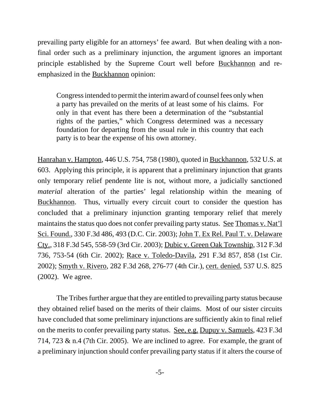prevailing party eligible for an attorneys' fee award. But when dealing with a nonfinal order such as a preliminary injunction, the argument ignores an important principle established by the Supreme Court well before Buckhannon and reemphasized in the Buckhannon opinion:

Congress intended to permit the interim award of counsel fees only when a party has prevailed on the merits of at least some of his claims. For only in that event has there been a determination of the "substantial rights of the parties," which Congress determined was a necessary foundation for departing from the usual rule in this country that each party is to bear the expense of his own attorney.

Hanrahan v. Hampton, 446 U.S. 754, 758 (1980), quoted in Buckhannon, 532 U.S. at 603. Applying this principle, it is apparent that a preliminary injunction that grants only temporary relief pendente lite is not, without more, a judicially sanctioned *material* alteration of the parties' legal relationship within the meaning of Buckhannon. Thus, virtually every circuit court to consider the question has concluded that a preliminary injunction granting temporary relief that merely maintains the status quo does not confer prevailing party status. <u>See Thomas v. Nat'l</u> Sci. Found., 330 F.3d 486, 493 (D.C. Cir. 2003); John T. Ex Rel. Paul T. v. Delaware Cty., 318 F.3d 545, 558-59 (3rd Cir. 2003); Dubic v. Green Oak Township, 312 F.3d 736, 753-54 (6th Cir. 2002); Race v. Toledo-Davila, 291 F.3d 857, 858 (1st Cir. 2002); Smyth v. Rivero, 282 F.3d 268, 276-77 (4th Cir.), cert. denied, 537 U.S. 825 (2002). We agree.

The Tribes further argue that they are entitled to prevailing party status because they obtained relief based on the merits of their claims. Most of our sister circuits have concluded that some preliminary injunctions are sufficiently akin to final relief on the merits to confer prevailing party status. See, e.g. Dupuy v. Samuels, 423 F.3d 714, 723 & n.4 (7th Cir. 2005). We are inclined to agree. For example, the grant of a preliminary injunction should confer prevailing party status if it alters the course of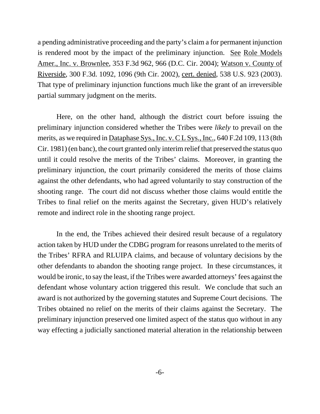a pending administrative proceeding and the party's claim a for permanent injunction is rendered moot by the impact of the preliminary injunction. See Role Models Amer., Inc. v. Brownlee, 353 F.3d 962, 966 (D.C. Cir. 2004); Watson v. County of Riverside, 300 F.3d. 1092, 1096 (9th Cir. 2002), cert. denied, 538 U.S. 923 (2003). That type of preliminary injunction functions much like the grant of an irreversible partial summary judgment on the merits.

Here, on the other hand, although the district court before issuing the preliminary injunction considered whether the Tribes were *likely* to prevail on the merits, as we required in Dataphase Sys., Inc. v. C L Sys., Inc., 640 F.2d 109, 113 (8th Cir. 1981) (en banc), the court granted only interim relief that preserved the status quo until it could resolve the merits of the Tribes' claims. Moreover, in granting the preliminary injunction, the court primarily considered the merits of those claims against the other defendants, who had agreed voluntarily to stay construction of the shooting range. The court did not discuss whether those claims would entitle the Tribes to final relief on the merits against the Secretary, given HUD's relatively remote and indirect role in the shooting range project.

In the end, the Tribes achieved their desired result because of a regulatory action taken by HUD under the CDBG program for reasons unrelated to the merits of the Tribes' RFRA and RLUIPA claims, and because of voluntary decisions by the other defendants to abandon the shooting range project. In these circumstances, it would be ironic, to say the least, if the Tribes were awarded attorneys' fees against the defendant whose voluntary action triggered this result. We conclude that such an award is not authorized by the governing statutes and Supreme Court decisions. The Tribes obtained no relief on the merits of their claims against the Secretary. The preliminary injunction preserved one limited aspect of the status quo without in any way effecting a judicially sanctioned material alteration in the relationship between